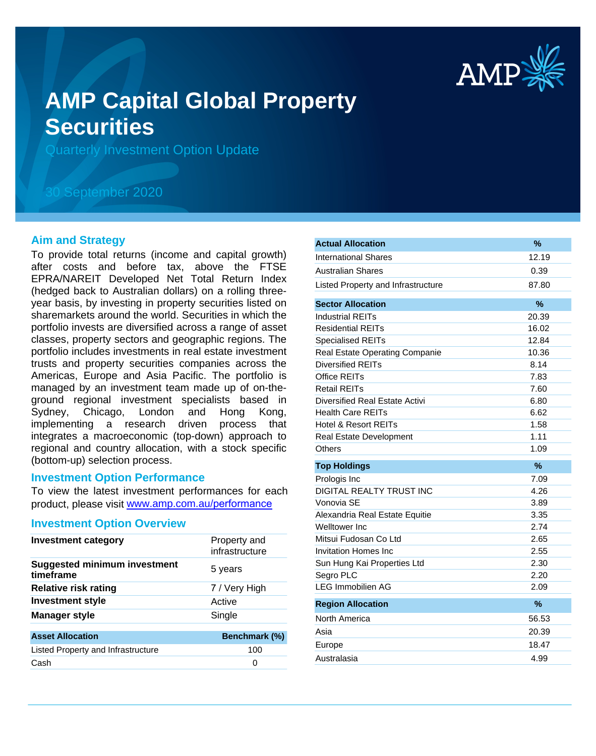

# **AMP Capital Global Property Securities**

Quarterly Investment Option Update

## 30 September 2020

#### **Aim and Strategy**

To provide total returns (income and capital growth) after costs and before tax, above the FTSE EPRA/NAREIT Developed Net Total Return Index (hedged back to Australian dollars) on a rolling threeyear basis, by investing in property securities listed on sharemarkets around the world. Securities in which the portfolio invests are diversified across a range of asset classes, property sectors and geographic regions. The portfolio includes investments in real estate investment trusts and property securities companies across the Americas, Europe and Asia Pacific. The portfolio is managed by an investment team made up of on-theground regional investment specialists based in Sydney, Chicago, London and Hong Kong, implementing a research driven process that integrates a macroeconomic (top-down) approach to regional and country allocation, with a stock specific (bottom-up) selection process.

#### **Investment Option Performance**

To view the latest investment performances for each product, please visit www.amp.com.au/performance

#### **Investment Option Overview**

| <b>Investment category</b>                       | Property and<br>infrastructure |
|--------------------------------------------------|--------------------------------|
| <b>Suggested minimum investment</b><br>timeframe | 5 years                        |
| <b>Relative risk rating</b>                      | 7 / Very High                  |
| <b>Investment style</b>                          | Active                         |
| <b>Manager style</b>                             | Single                         |
| <b>Asset Allocation</b>                          | Benchmark (%)                  |
| Listed Property and Infrastructure               | 100                            |
| Cash                                             | 0                              |
|                                                  |                                |

|                                    | %     |
|------------------------------------|-------|
| <b>International Shares</b>        | 12.19 |
| Australian Shares                  | 0.39  |
| Listed Property and Infrastructure | 87.80 |
| <b>Sector Allocation</b>           | %     |
| <b>Industrial REITs</b>            | 20.39 |
| <b>Residential REITs</b>           | 16.02 |
| <b>Specialised REITs</b>           | 12.84 |
| Real Estate Operating Companie     | 10.36 |
| <b>Diversified REITs</b>           | 8.14  |
| Office REITs                       | 7.83  |
| <b>Retail REITs</b>                | 7.60  |
| Diversified Real Estate Activi     | 6.80  |
| <b>Health Care REITs</b>           | 6.62  |
| <b>Hotel &amp; Resort REITs</b>    | 1.58  |
| Real Estate Development            | 1.11  |
| Others                             | 1.09  |
| <b>Top Holdings</b>                | %     |
| Prologis Inc                       | 7.09  |
|                                    | 4.26  |
| DIGITAL REALTY TRUST INC           |       |
| Vonovia SE                         | 3.89  |
| Alexandria Real Estate Equitie     | 3.35  |
| Welltower Inc                      | 2.74  |
| Mitsui Fudosan Co Ltd              | 2.65  |
| <b>Invitation Homes Inc</b>        | 2.55  |
| Sun Hung Kai Properties Ltd        | 2.30  |
| Segro PLC                          | 2.20  |
| <b>LEG Immobilien AG</b>           | 2.09  |
| <b>Region Allocation</b>           | $\%$  |
| North America                      | 56.53 |
| Asia                               | 20.39 |
| Europe                             | 18.47 |
| Australasia                        | 4.99  |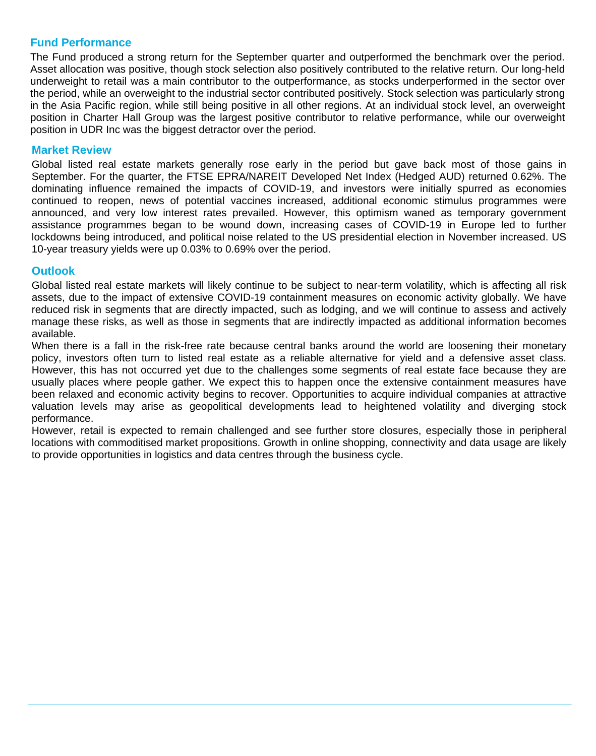### **Fund Performance**

The Fund produced a strong return for the September quarter and outperformed the benchmark over the period. Asset allocation was positive, though stock selection also positively contributed to the relative return. Our long-held underweight to retail was a main contributor to the outperformance, as stocks underperformed in the sector over the period, while an overweight to the industrial sector contributed positively. Stock selection was particularly strong in the Asia Pacific region, while still being positive in all other regions. At an individual stock level, an overweight position in Charter Hall Group was the largest positive contributor to relative performance, while our overweight position in UDR Inc was the biggest detractor over the period.

#### **Market Review**

Global listed real estate markets generally rose early in the period but gave back most of those gains in September. For the quarter, the FTSE EPRA/NAREIT Developed Net Index (Hedged AUD) returned 0.62%. The dominating influence remained the impacts of COVID-19, and investors were initially spurred as economies continued to reopen, news of potential vaccines increased, additional economic stimulus programmes were announced, and very low interest rates prevailed. However, this optimism waned as temporary government assistance programmes began to be wound down, increasing cases of COVID-19 in Europe led to further lockdowns being introduced, and political noise related to the US presidential election in November increased. US 10-year treasury yields were up 0.03% to 0.69% over the period.

#### **Outlook**

Global listed real estate markets will likely continue to be subject to near-term volatility, which is affecting all risk assets, due to the impact of extensive COVID-19 containment measures on economic activity globally. We have reduced risk in segments that are directly impacted, such as lodging, and we will continue to assess and actively manage these risks, as well as those in segments that are indirectly impacted as additional information becomes available.

When there is a fall in the risk-free rate because central banks around the world are loosening their monetary policy, investors often turn to listed real estate as a reliable alternative for yield and a defensive asset class. However, this has not occurred yet due to the challenges some segments of real estate face because they are usually places where people gather. We expect this to happen once the extensive containment measures have been relaxed and economic activity begins to recover. Opportunities to acquire individual companies at attractive valuation levels may arise as geopolitical developments lead to heightened volatility and diverging stock performance.

However, retail is expected to remain challenged and see further store closures, especially those in peripheral locations with commoditised market propositions. Growth in online shopping, connectivity and data usage are likely to provide opportunities in logistics and data centres through the business cycle.